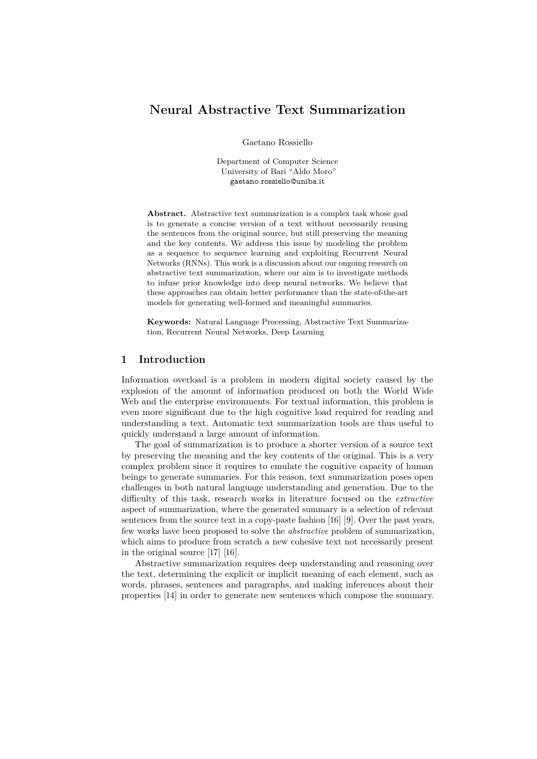# **Neural Abstractive Text Summarization**

Gaetano Rossiello

Department of Computer Science University of Bari "Aldo Moro" gaetano.rossiello@uniba.it

**Abstract.** Abstractive text summarization is a complex task whose goal is to generate a concise version of a text without necessarily reusing the sentences from the original source, but still preserving the meaning and the key contents. We address this issue by modeling the problem as a sequence to sequence learning and exploiting Recurrent Neural Networks (RNNs). This work is a discussion about our ongoing research on abstractive text summarization, where our aim is to investigate methods to infuse prior knowledge into deep neural networks. We believe that these approaches can obtain better performance than the state-of-the-art models for generating well-formed and meaningful summaries.

**Keywords:** Natural Language Processing, Abstractive Text Summarization, Recurrent Neural Networks, Deep Learning

### **1 Introduction**

Information overload is a problem in modern digital society caused by the explosion of the amount of information produced on both the World Wide Web and the enterprise environments. For textual information, this problem is even more significant due to the high cognitive load required for reading and understanding a text. Automatic text summarization tools are thus useful to quickly understand a large amount of information.

The goal of summarization is to produce a shorter version of a source text by preserving the meaning and the key contents of the original. This is a very complex problem since it requires to emulate the cognitive capacity of human beings to generate summaries. For this reason, text summarization poses open challenges in both natural language understanding and generation. Due to the difficulty of this task, research works in literature focused on the *extractive* aspect of summarization, where the generated summary is a selection of relevant sentences from the source text in a copy-paste fashion [\[16\]](#page-5-0) [\[9\]](#page-4-0). Over the past years, few works have been proposed to solve the *abstractive* problem of summarization, which aims to produce from scratch a new cohesive text not necessarily present in the original source [\[17\]](#page-5-1) [\[16\]](#page-5-0).

Abstractive summarization requires deep understanding and reasoning over the text, determining the explicit or implicit meaning of each element, such as words, phrases, sentences and paragraphs, and making inferences about their properties [\[14\]](#page-4-1) in order to generate new sentences which compose the summary.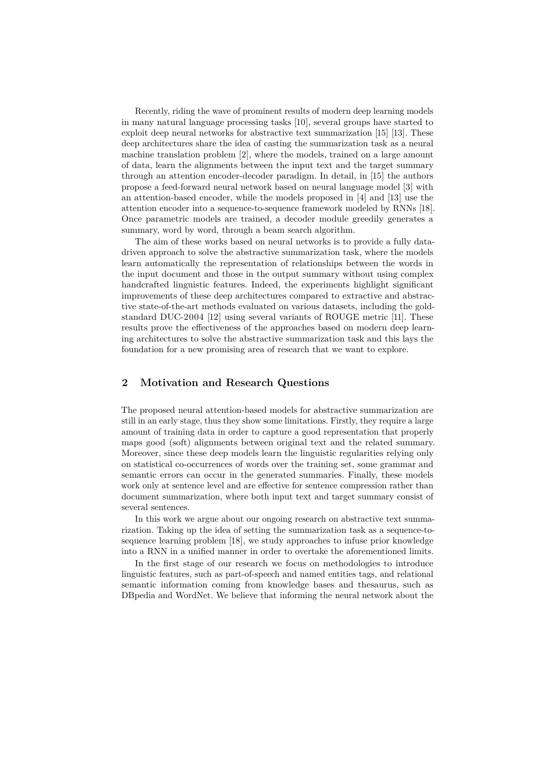Recently, riding the wave of prominent results of modern deep learning models in many natural language processing tasks [\[10\]](#page-4-2), several groups have started to exploit deep neural networks for abstractive text summarization [\[15\]](#page-5-2) [\[13\]](#page-4-3). These deep architectures share the idea of casting the summarization task as a neural machine translation problem [\[2\]](#page-4-4), where the models, trained on a large amount of data, learn the alignments between the input text and the target summary through an attention encoder-decoder paradigm. In detail, in [\[15\]](#page-5-2) the authors propose a feed-forward neural network based on neural language model [\[3\]](#page-4-5) with an attention-based encoder, while the models proposed in [\[4\]](#page-4-6) and [\[13\]](#page-4-3) use the attention encoder into a sequence-to-sequence framework modeled by RNNs [\[18\]](#page-5-3). Once parametric models are trained, a decoder module greedily generates a summary, word by word, through a beam search algorithm.

The aim of these works based on neural networks is to provide a fully datadriven approach to solve the abstractive summarization task, where the models learn automatically the representation of relationships between the words in the input document and those in the output summary without using complex handcrafted linguistic features. Indeed, the experiments highlight significant improvements of these deep architectures compared to extractive and abstractive state-of-the-art methods evaluated on various datasets, including the goldstandard DUC-2004 [\[12\]](#page-4-7) using several variants of ROUGE metric [\[11\]](#page-4-8). These results prove the effectiveness of the approaches based on modern deep learning architectures to solve the abstractive summarization task and this lays the foundation for a new promising area of research that we want to explore.

#### **2 Motivation and Research Questions**

The proposed neural attention-based models for abstractive summarization are still in an early stage, thus they show some limitations. Firstly, they require a large amount of training data in order to capture a good representation that properly maps good (soft) alignments between original text and the related summary. Moreover, since these deep models learn the linguistic regularities relying only on statistical co-occurrences of words over the training set, some grammar and semantic errors can occur in the generated summaries. Finally, these models work only at sentence level and are effective for sentence compression rather than document summarization, where both input text and target summary consist of several sentences.

In this work we argue about our ongoing research on abstractive text summarization. Taking up the idea of setting the summarization task as a sequence-tosequence learning problem [\[18\]](#page-5-3), we study approaches to infuse prior knowledge into a RNN in a unified manner in order to overtake the aforementioned limits.

In the first stage of our research we focus on methodologies to introduce linguistic features, such as part-of-speech and named entities tags, and relational semantic information coming from knowledge bases and thesaurus, such as DBpedia and WordNet. We believe that informing the neural network about the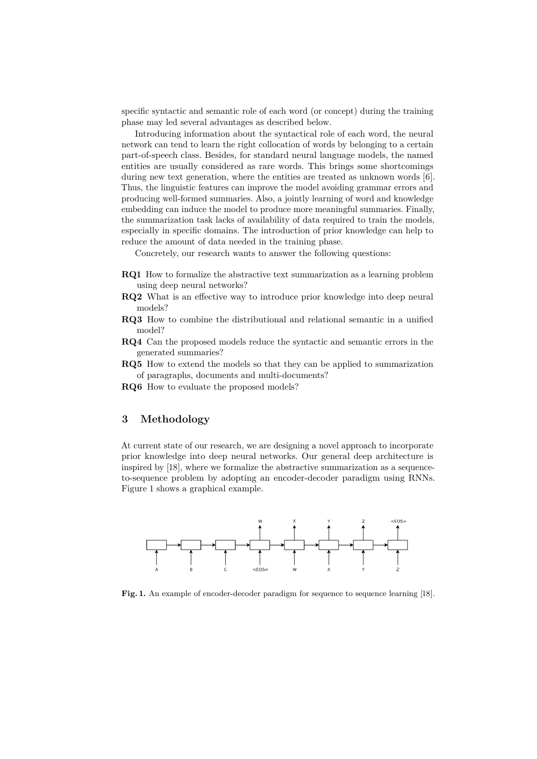specific syntactic and semantic role of each word (or concept) during the training phase may led several advantages as described below.

Introducing information about the syntactical role of each word, the neural network can tend to learn the right collocation of words by belonging to a certain part-of-speech class. Besides, for standard neural language models, the named entities are usually considered as rare words. This brings some shortcomings during new text generation, where the entities are treated as unknown words [\[6\]](#page-4-9). Thus, the linguistic features can improve the model avoiding grammar errors and producing well-formed summaries. Also, a jointly learning of word and knowledge embedding can induce the model to produce more meaningful summaries. Finally, the summarization task lacks of availability of data required to train the models, especially in specific domains. The introduction of prior knowledge can help to reduce the amount of data needed in the training phase.

Concretely, our research wants to answer the following questions:

- **RQ1** How to formalize the abstractive text summarization as a learning problem using deep neural networks?
- **RQ2** What is an effective way to introduce prior knowledge into deep neural models?
- **RQ3** How to combine the distributional and relational semantic in a unified model?
- **RQ4** Can the proposed models reduce the syntactic and semantic errors in the generated summaries?
- **RQ5** How to extend the models so that they can be applied to summarization of paragraphs, documents and multi-documents?
- **RQ6** How to evaluate the proposed models?

## **3 Methodology**

At current state of our research, we are designing a novel approach to incorporate prior knowledge into deep neural networks. Our general deep architecture is inspired by [\[18\]](#page-5-3), where we formalize the abstractive summarization as a sequenceto-sequence problem by adopting an encoder-decoder paradigm using RNNs. Figure [1](#page-2-0) shows a graphical example.

<span id="page-2-0"></span>

**Fig. 1.** An example of encoder-decoder paradigm for sequence to sequence learning [\[18\]](#page-5-3).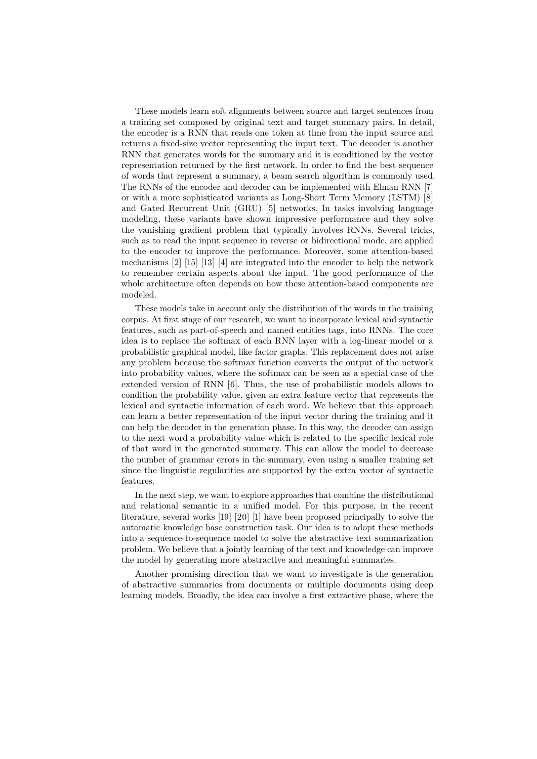These models learn soft alignments between source and target sentences from a training set composed by original text and target summary pairs. In detail, the encoder is a RNN that reads one token at time from the input source and returns a fixed-size vector representing the input text. The decoder is another RNN that generates words for the summary and it is conditioned by the vector representation returned by the first network. In order to find the best sequence of words that represent a summary, a beam search algorithm is commonly used. The RNNs of the encoder and decoder can be implemented with Elman RNN [\[7\]](#page-4-10) or with a more sophisticated variants as Long-Short Term Memory (LSTM) [\[8\]](#page-4-11) and Gated Recurrent Unit (GRU) [\[5\]](#page-4-12) networks. In tasks involving language modeling, these variants have shown impressive performance and they solve the vanishing gradient problem that typically involves RNNs. Several tricks, such as to read the input sequence in reverse or bidirectional mode, are applied to the encoder to improve the performance. Moreover, some attention-based mechanisms [\[2\]](#page-4-4) [\[15\]](#page-5-2) [\[13\]](#page-4-3) [\[4\]](#page-4-6) are integrated into the encoder to help the network to remember certain aspects about the input. The good performance of the whole architecture often depends on how these attention-based components are modeled.

These models take in account only the distribution of the words in the training corpus. At first stage of our research, we want to incorporate lexical and syntactic features, such as part-of-speech and named entities tags, into RNNs. The core idea is to replace the softmax of each RNN layer with a log-linear model or a probabilistic graphical model, like factor graphs. This replacement does not arise any problem because the softmax function converts the output of the network into probability values, where the softmax can be seen as a special case of the extended version of RNN [\[6\]](#page-4-9). Thus, the use of probabilistic models allows to condition the probability value, given an extra feature vector that represents the lexical and syntactic information of each word. We believe that this approach can learn a better representation of the input vector during the training and it can help the decoder in the generation phase. In this way, the decoder can assign to the next word a probability value which is related to the specific lexical role of that word in the generated summary. This can allow the model to decrease the number of grammar errors in the summary, even using a smaller training set since the linguistic regularities are supported by the extra vector of syntactic features.

In the next step, we want to explore approaches that combine the distributional and relational semantic in a unified model. For this purpose, in the recent literature, several works [\[19\]](#page-5-4) [\[20\]](#page-5-5) [\[1\]](#page-4-13) have been proposed principally to solve the automatic knowledge base construction task. Our idea is to adopt these methods into a sequence-to-sequence model to solve the abstractive text summarization problem. We believe that a jointly learning of the text and knowledge can improve the model by generating more abstractive and meaningful summaries.

Another promising direction that we want to investigate is the generation of abstractive summaries from documents or multiple documents using deep learning models. Broadly, the idea can involve a first extractive phase, where the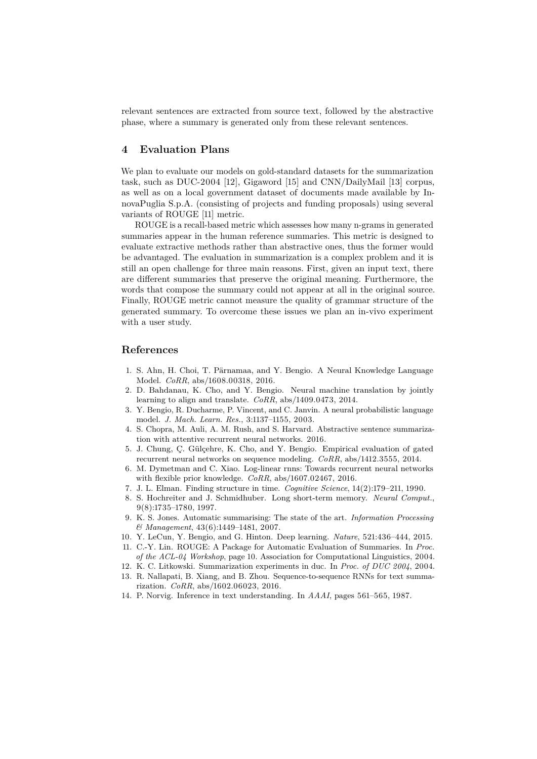relevant sentences are extracted from source text, followed by the abstractive phase, where a summary is generated only from these relevant sentences.

#### **4 Evaluation Plans**

We plan to evaluate our models on gold-standard datasets for the summarization task, such as DUC-2004 [\[12\]](#page-4-7), Gigaword [\[15\]](#page-5-2) and CNN/DailyMail [\[13\]](#page-4-3) corpus, as well as on a local government dataset of documents made available by InnovaPuglia S.p.A. (consisting of projects and funding proposals) using several variants of ROUGE [\[11\]](#page-4-8) metric.

ROUGE is a recall-based metric which assesses how many n-grams in generated summaries appear in the human reference summaries. This metric is designed to evaluate extractive methods rather than abstractive ones, thus the former would be advantaged. The evaluation in summarization is a complex problem and it is still an open challenge for three main reasons. First, given an input text, there are different summaries that preserve the original meaning. Furthermore, the words that compose the summary could not appear at all in the original source. Finally, ROUGE metric cannot measure the quality of grammar structure of the generated summary. To overcome these issues we plan an in-vivo experiment with a user study.

## **References**

- <span id="page-4-13"></span>1. S. Ahn, H. Choi, T. Pärnamaa, and Y. Bengio. A Neural Knowledge Language Model. *CoRR*, abs/1608.00318, 2016.
- <span id="page-4-4"></span>2. D. Bahdanau, K. Cho, and Y. Bengio. Neural machine translation by jointly learning to align and translate. *CoRR*, abs/1409.0473, 2014.
- <span id="page-4-5"></span>3. Y. Bengio, R. Ducharme, P. Vincent, and C. Janvin. A neural probabilistic language model. *J. Mach. Learn. Res.*, 3:1137–1155, 2003.
- <span id="page-4-6"></span>4. S. Chopra, M. Auli, A. M. Rush, and S. Harvard. Abstractive sentence summarization with attentive recurrent neural networks. 2016.
- <span id="page-4-12"></span>5. J. Chung, Ç. Gülçehre, K. Cho, and Y. Bengio. Empirical evaluation of gated recurrent neural networks on sequence modeling. *CoRR*, abs/1412.3555, 2014.
- <span id="page-4-9"></span>6. M. Dymetman and C. Xiao. Log-linear rnns: Towards recurrent neural networks with flexible prior knowledge. *CoRR*, abs/1607.02467, 2016.
- <span id="page-4-10"></span>7. J. L. Elman. Finding structure in time. *Cognitive Science*, 14(2):179–211, 1990.
- <span id="page-4-11"></span>8. S. Hochreiter and J. Schmidhuber. Long short-term memory. *Neural Comput.*, 9(8):1735–1780, 1997.
- <span id="page-4-0"></span>9. K. S. Jones. Automatic summarising: The state of the art. *Information Processing & Management*, 43(6):1449–1481, 2007.
- <span id="page-4-2"></span>10. Y. LeCun, Y. Bengio, and G. Hinton. Deep learning. *Nature*, 521:436–444, 2015.
- <span id="page-4-8"></span>11. C.-Y. Lin. ROUGE: A Package for Automatic Evaluation of Summaries. In *Proc. of the ACL-04 Workshop*, page 10. Association for Computational Linguistics, 2004.
- <span id="page-4-7"></span><span id="page-4-3"></span>12. K. C. Litkowski. Summarization experiments in duc. In *Proc. of DUC 2004*, 2004. 13. R. Nallapati, B. Xiang, and B. Zhou. Sequence-to-sequence RNNs for text summa
	- rization. *CoRR*, abs/1602.06023, 2016.
- <span id="page-4-1"></span>14. P. Norvig. Inference in text understanding. In *AAAI*, pages 561–565, 1987.